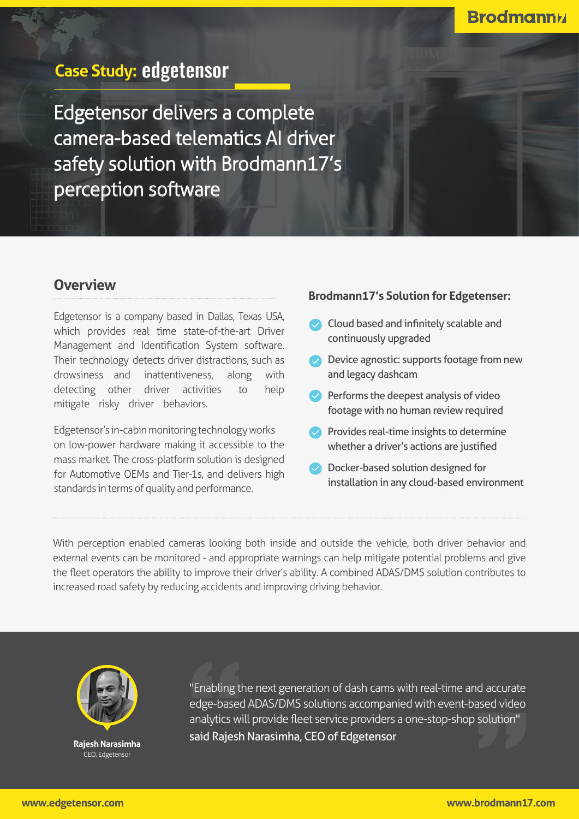

## **Overview**

Edge3ensor is a company based in Dallas, Texas USA, which provides real time state-of-the-art Driver Management and Identification System software. Their technology detects driver distractions, such as drowsiness and inattentiveness, along with detecting other driver activities to help mitigate risky driver behaviors.

Edge3ensor's in-cabin monitoring technology works on low-power hardware making it accessible to the mass market. The cross-platform solution is designed for Automotive OEMs and Tier-1s, and delivers high standards in terms of quality and performance.

## **Brodmann17's Solution for EdgeTenser:**

- $\bullet$  Cloud based and infinitely scalable and continuously upgraded
- $\bullet$  Device agnostic: supports footage from new and legacy dashcam
- $\blacktriangleright$  Performs the deepest analysis of video footage with no human review required
- $\bullet$  Provides real-time insights to determine whether a driver's actions are justified
- $\bullet$  Docker-based solution designed for installation in any cloud-based environment

With perception enabled cameras looking both inside and outside the vehicle, both driver behavior and external events can be monitored - and appropriate warnings can help mitigate potential problems and give the fleet operators the ability to improve their driver's ability. A combined ADAS/DMS solution contributes to increased road safety by reducing accidents and improving driving behavior.



**Narasimha Rajesh** CEO, Edgetensor

"Enabling the next generation of dash cams with real-time and accurate edge-based ADAS/DMS solutions, accompanied with event-based video analytics, will provide fleet service providers a one-stop-shop solution."